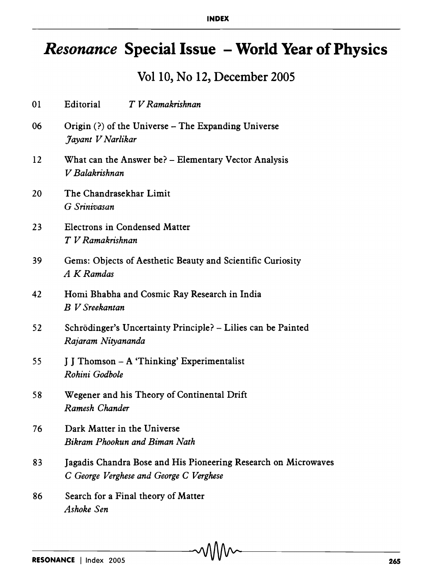## *Resonance* **Special Issue - World Year of Physics**

## Vol 10, No 12, December 2005

| 01 | Editorial<br>T V Ramakrishnan                                                                             |
|----|-----------------------------------------------------------------------------------------------------------|
| 06 | Origin $(?)$ of the Universe – The Expanding Universe<br>Jayant V Narlikar                                |
| 12 | What can the Answer be? - Elementary Vector Analysis<br>V Balakrishnan                                    |
| 20 | The Chandrasekhar Limit<br>G Srinivasan                                                                   |
| 23 | <b>Electrons in Condensed Matter</b><br>T V Ramakrishnan                                                  |
| 39 | Gems: Objects of Aesthetic Beauty and Scientific Curiosity<br>A K Ramdas                                  |
| 42 | Homi Bhabha and Cosmic Ray Research in India<br><b>B</b> V Sreekantan                                     |
| 52 | Schrödinger's Uncertainty Principle? - Lilies can be Painted<br>Rajaram Nityananda                        |
| 55 | J J Thomson - A 'Thinking' Experimentalist<br>Rohini Godbole                                              |
| 58 | Wegener and his Theory of Continental Drift<br>Ramesh Chander                                             |
| 76 | Dark Matter in the Universe<br>Bikram Phookun and Biman Nath                                              |
| 83 | Jagadis Chandra Bose and His Pioneering Research on Microwaves<br>C George Verghese and George C Verghese |
| 86 | Search for a Final theory of Matter<br>Ashoke Sen                                                         |